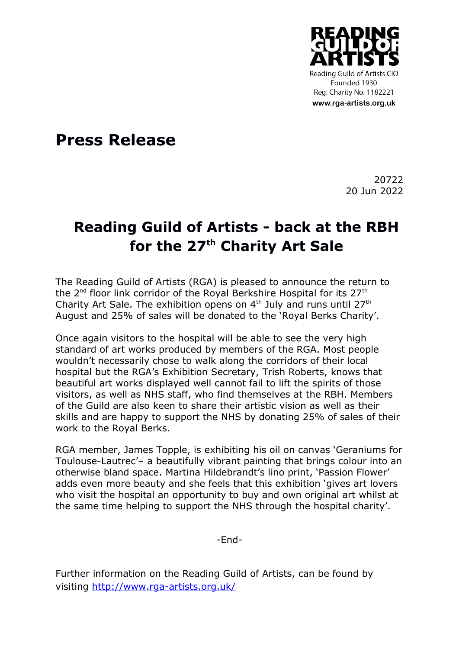

**Press Release**

20722 20 Jun 2022

## **Reading Guild of Artists - back at the RBH for the 27th Charity Art Sale**

The Reading Guild of Artists (RGA) is pleased to announce the return to the 2<sup>nd</sup> floor link corridor of the Royal Berkshire Hospital for its 27<sup>th</sup> Charity Art Sale. The exhibition opens on  $4<sup>th</sup>$  July and runs until 27<sup>th</sup> August and 25% of sales will be donated to the 'Royal Berks Charity'.

Once again visitors to the hospital will be able to see the very high standard of art works produced by members of the RGA. Most people wouldn't necessarily chose to walk along the corridors of their local hospital but the RGA's Exhibition Secretary, Trish Roberts, knows that beautiful art works displayed well cannot fail to lift the spirits of those visitors, as well as NHS staff, who find themselves at the RBH. Members of the Guild are also keen to share their artistic vision as well as their skills and are happy to support the NHS by donating 25% of sales of their work to the Royal Berks.

RGA member, James Topple, is exhibiting his oil on canvas 'Geraniums for Toulouse-Lautrec'– a beautifully vibrant painting that brings colour into an otherwise bland space. Martina Hildebrandt's lino print, 'Passion Flower' adds even more beauty and she feels that this exhibition 'gives art lovers who visit the hospital an opportunity to buy and own original art whilst at the same time helping to support the NHS through the hospital charity'.

-End-

Further information on the Reading Guild of Artists, can be found by visiting<http://www.rga-artists.org.uk/>